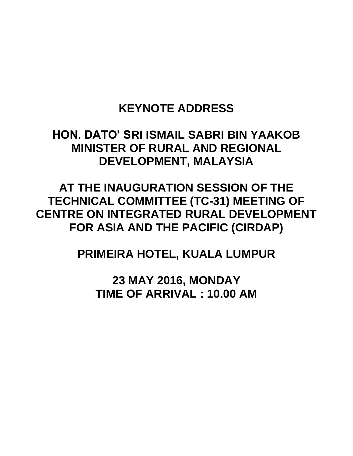## **KEYNOTE ADDRESS**

## **HON. DATO' SRI ISMAIL SABRI BIN YAAKOB MINISTER OF RURAL AND REGIONAL DEVELOPMENT, MALAYSIA**

**AT THE INAUGURATION SESSION OF THE TECHNICAL COMMITTEE (TC-31) MEETING OF CENTRE ON INTEGRATED RURAL DEVELOPMENT FOR ASIA AND THE PACIFIC (CIRDAP)**

**PRIMEIRA HOTEL, KUALA LUMPUR**

**23 MAY 2016, MONDAY TIME OF ARRIVAL : 10.00 AM**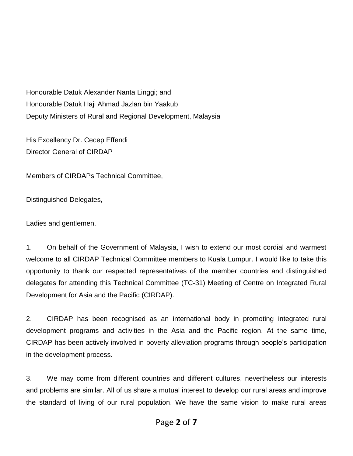Honourable Datuk Alexander Nanta Linggi; and Honourable Datuk Haji Ahmad Jazlan bin Yaakub Deputy Ministers of Rural and Regional Development, Malaysia

His Excellency Dr. Cecep Effendi Director General of CIRDAP

Members of CIRDAPs Technical Committee,

Distinguished Delegates,

Ladies and gentlemen.

1. On behalf of the Government of Malaysia, I wish to extend our most cordial and warmest welcome to all CIRDAP Technical Committee members to Kuala Lumpur. I would like to take this opportunity to thank our respected representatives of the member countries and distinguished delegates for attending this Technical Committee (TC-31) Meeting of Centre on Integrated Rural Development for Asia and the Pacific (CIRDAP).

2. CIRDAP has been recognised as an international body in promoting integrated rural development programs and activities in the Asia and the Pacific region. At the same time, CIRDAP has been actively involved in poverty alleviation programs through people's participation in the development process.

3. We may come from different countries and different cultures, nevertheless our interests and problems are similar. All of us share a mutual interest to develop our rural areas and improve the standard of living of our rural population. We have the same vision to make rural areas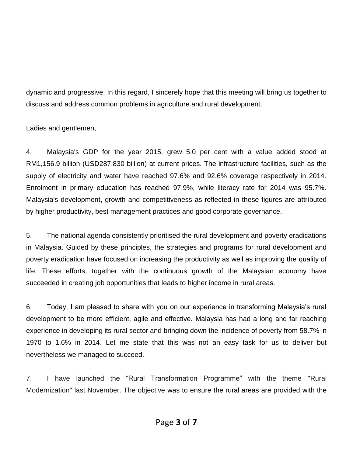dynamic and progressive. In this regard, I sincerely hope that this meeting will bring us together to discuss and address common problems in agriculture and rural development.

Ladies and gentlemen,

4. Malaysia's GDP for the year 2015, grew 5.0 per cent with a value added stood at RM1,156.9 billion (USD287.830 billion) at current prices. The infrastructure facilities, such as the supply of electricity and water have reached 97.6% and 92.6% coverage respectively in 2014. Enrolment in primary education has reached 97.9%, while literacy rate for 2014 was 95.7%. Malaysia's development, growth and competitiveness as reflected in these figures are attributed by higher productivity, best management practices and good corporate governance.

5. The national agenda consistently prioritised the rural development and poverty eradications in Malaysia. Guided by these principles, the strategies and programs for rural development and poverty eradication have focused on increasing the productivity as well as improving the quality of life. These efforts, together with the continuous growth of the Malaysian economy have succeeded in creating job opportunities that leads to higher income in rural areas.

6. Today, I am pleased to share with you on our experience in transforming Malaysia's rural development to be more efficient, agile and effective. Malaysia has had a long and far reaching experience in developing its rural sector and bringing down the incidence of poverty from 58.7% in 1970 to 1.6% in 2014. Let me state that this was not an easy task for us to deliver but nevertheless we managed to succeed.

7. I have launched the "Rural Transformation Programme" with the theme "Rural Modernization" last November. The objective was to ensure the rural areas are provided with the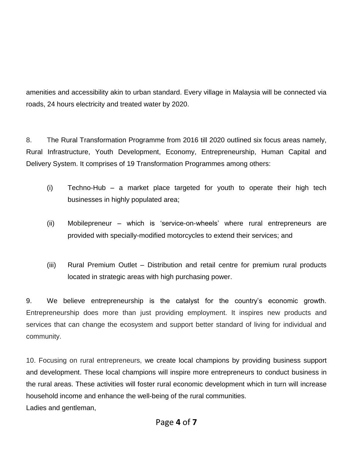amenities and accessibility akin to urban standard. Every village in Malaysia will be connected via roads, 24 hours electricity and treated water by 2020.

8. The Rural Transformation Programme from 2016 till 2020 outlined six focus areas namely, Rural Infrastructure, Youth Development, Economy, Entrepreneurship, Human Capital and Delivery System. It comprises of 19 Transformation Programmes among others:

- (i) Techno-Hub a market place targeted for youth to operate their high tech businesses in highly populated area;
- (ii) Mobilepreneur which is 'service-on-wheels' where rural entrepreneurs are provided with specially-modified motorcycles to extend their services; and
- (iii) Rural Premium Outlet Distribution and retail centre for premium rural products located in strategic areas with high purchasing power.

9. We believe entrepreneurship is the catalyst for the country's economic growth. Entrepreneurship does more than just providing employment. It inspires new products and services that can change the ecosystem and support better standard of living for individual and community.

10. Focusing on rural entrepreneurs, we create local champions by providing business support and development. These local champions will inspire more entrepreneurs to conduct business in the rural areas. These activities will foster rural economic development which in turn will increase household income and enhance the well-being of the rural communities. Ladies and gentleman,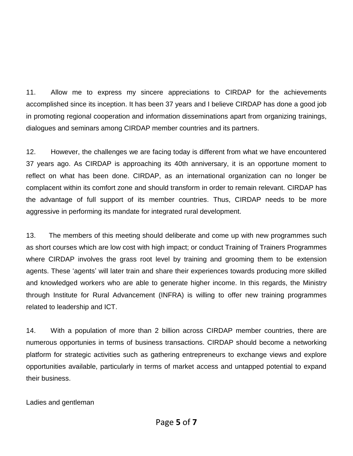11. Allow me to express my sincere appreciations to CIRDAP for the achievements accomplished since its inception. It has been 37 years and I believe CIRDAP has done a good job in promoting regional cooperation and information disseminations apart from organizing trainings, dialogues and seminars among CIRDAP member countries and its partners.

12. However, the challenges we are facing today is different from what we have encountered 37 years ago. As CIRDAP is approaching its 40th anniversary, it is an opportune moment to reflect on what has been done. CIRDAP, as an international organization can no longer be complacent within its comfort zone and should transform in order to remain relevant. CIRDAP has the advantage of full support of its member countries. Thus, CIRDAP needs to be more aggressive in performing its mandate for integrated rural development.

13. The members of this meeting should deliberate and come up with new programmes such as short courses which are low cost with high impact; or conduct Training of Trainers Programmes where CIRDAP involves the grass root level by training and grooming them to be extension agents. These 'agents' will later train and share their experiences towards producing more skilled and knowledged workers who are able to generate higher income. In this regards, the Ministry through Institute for Rural Advancement (INFRA) is willing to offer new training programmes related to leadership and ICT.

14. With a population of more than 2 billion across CIRDAP member countries, there are numerous opportunies in terms of business transactions. CIRDAP should become a networking platform for strategic activities such as gathering entrepreneurs to exchange views and explore opportunities available, particularly in terms of market access and untapped potential to expand their business.

Ladies and gentleman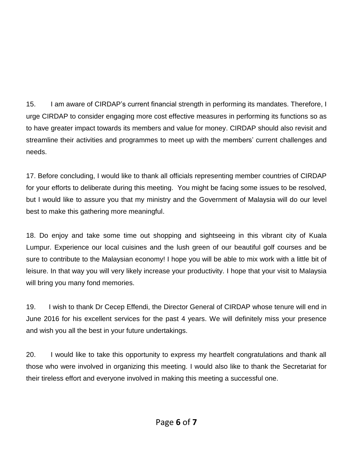15. I am aware of CIRDAP's current financial strength in performing its mandates. Therefore, I urge CIRDAP to consider engaging more cost effective measures in performing its functions so as to have greater impact towards its members and value for money. CIRDAP should also revisit and streamline their activities and programmes to meet up with the members' current challenges and needs.

17. Before concluding, I would like to thank all officials representing member countries of CIRDAP for your efforts to deliberate during this meeting. You might be facing some issues to be resolved, but I would like to assure you that my ministry and the Government of Malaysia will do our level best to make this gathering more meaningful.

18. Do enjoy and take some time out shopping and sightseeing in this vibrant city of Kuala Lumpur. Experience our local cuisines and the lush green of our beautiful golf courses and be sure to contribute to the Malaysian economy! I hope you will be able to mix work with a little bit of leisure. In that way you will very likely increase your productivity. I hope that your visit to Malaysia will bring you many fond memories.

19. I wish to thank Dr Cecep Effendi, the Director General of CIRDAP whose tenure will end in June 2016 for his excellent services for the past 4 years. We will definitely miss your presence and wish you all the best in your future undertakings.

20. I would like to take this opportunity to express my heartfelt congratulations and thank all those who were involved in organizing this meeting. I would also like to thank the Secretariat for their tireless effort and everyone involved in making this meeting a successful one.